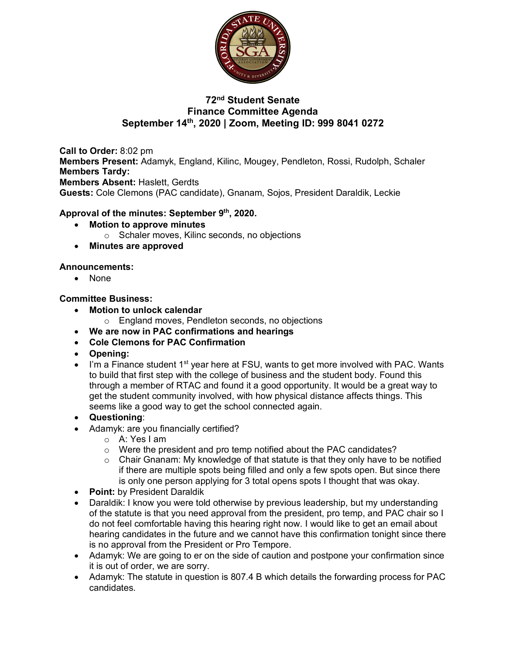

# **72nd Student Senate Finance Committee Agenda September 14th, 2020 | Zoom, Meeting ID: 999 8041 0272**

**Call to Order:** 8:02 pm **Members Present:** Adamyk, England, Kilinc, Mougey, Pendleton, Rossi, Rudolph, Schaler **Members Tardy: Members Absent:** Haslett, Gerdts **Guests:** Cole Clemons (PAC candidate), Gnanam, Sojos, President Daraldik, Leckie

## **Approval of the minutes: September 9th, 2020.**

- **Motion to approve minutes**
	- o Schaler moves, Kilinc seconds, no objections
- **Minutes are approved**

#### **Announcements:**

• None

#### **Committee Business:**

- **Motion to unlock calendar**
	- o England moves, Pendleton seconds, no objections
- **We are now in PAC confirmations and hearings**
- **Cole Clemons for PAC Confirmation**
- **Opening:**
- $\bullet$  I'm a Finance student 1<sup>st</sup> year here at FSU, wants to get more involved with PAC. Wants to build that first step with the college of business and the student body. Found this through a member of RTAC and found it a good opportunity. It would be a great way to get the student community involved, with how physical distance affects things. This seems like a good way to get the school connected again.
- **Questioning**:
- Adamyk: are you financially certified?
	- o A: Yes I am
	- o Were the president and pro temp notified about the PAC candidates?
	- $\circ$  Chair Gnanam: My knowledge of that statute is that they only have to be notified if there are multiple spots being filled and only a few spots open. But since there is only one person applying for 3 total opens spots I thought that was okay.
- **Point:** by President Daraldik
- Daraldik: I know you were told otherwise by previous leadership, but my understanding of the statute is that you need approval from the president, pro temp, and PAC chair so I do not feel comfortable having this hearing right now. I would like to get an email about hearing candidates in the future and we cannot have this confirmation tonight since there is no approval from the President or Pro Tempore.
- Adamyk: We are going to er on the side of caution and postpone your confirmation since it is out of order, we are sorry.
- Adamyk: The statute in question is 807.4 B which details the forwarding process for PAC candidates.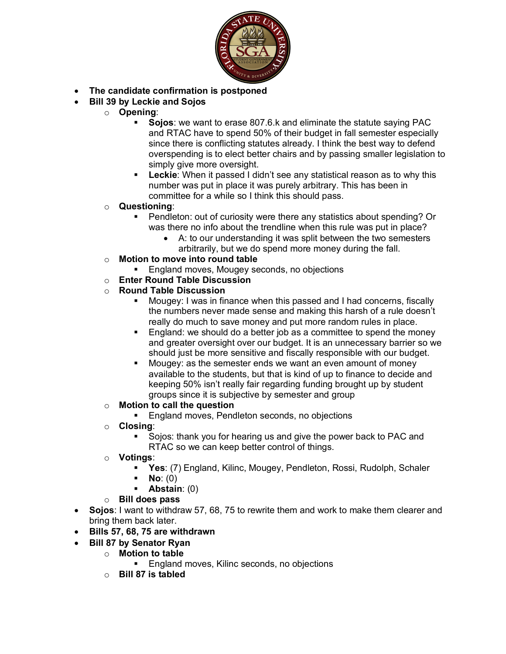

- **The candidate confirmation is postponed**
- **Bill 39 by Leckie and Sojos**
	- o **Opening**:
		- § **Sojos**: we want to erase 807.6.k and eliminate the statute saying PAC and RTAC have to spend 50% of their budget in fall semester especially since there is conflicting statutes already. I think the best way to defend overspending is to elect better chairs and by passing smaller legislation to simply give more oversight.
		- **Leckie:** When it passed I didn't see any statistical reason as to why this number was put in place it was purely arbitrary. This has been in committee for a while so I think this should pass.
	- o **Questioning**:
		- § Pendleton: out of curiosity were there any statistics about spending? Or was there no info about the trendline when this rule was put in place?
			- A: to our understanding it was split between the two semesters arbitrarily, but we do spend more money during the fall.
	- o **Motion to move into round table**
		- § England moves, Mougey seconds, no objections
	- o **Enter Round Table Discussion**
	- o **Round Table Discussion**
		- § Mougey: I was in finance when this passed and I had concerns, fiscally the numbers never made sense and making this harsh of a rule doesn't really do much to save money and put more random rules in place.
		- England: we should do a better job as a committee to spend the money and greater oversight over our budget. It is an unnecessary barrier so we should just be more sensitive and fiscally responsible with our budget.
		- Mougey: as the semester ends we want an even amount of money available to the students, but that is kind of up to finance to decide and keeping 50% isn't really fair regarding funding brought up by student groups since it is subjective by semester and group
	- o **Motion to call the question**
		- England moves, Pendleton seconds, no objections
	- o **Closing**:
		- Sojos: thank you for hearing us and give the power back to PAC and RTAC so we can keep better control of things.
	- o **Votings**:
		- § **Yes**: (7) England, Kilinc, Mougey, Pendleton, Rossi, Rudolph, Schaler
		- § **No**: (0)
		- § **Abstain**: (0)
	- o **Bill does pass**
- **Sojos**: I want to withdraw 57, 68, 75 to rewrite them and work to make them clearer and bring them back later.
- **Bills 57, 68, 75 are withdrawn**
	- **Bill 87 by Senator Ryan**
		- o **Motion to table** 
			- England moves, Kilinc seconds, no objections
		- o **Bill 87 is tabled**